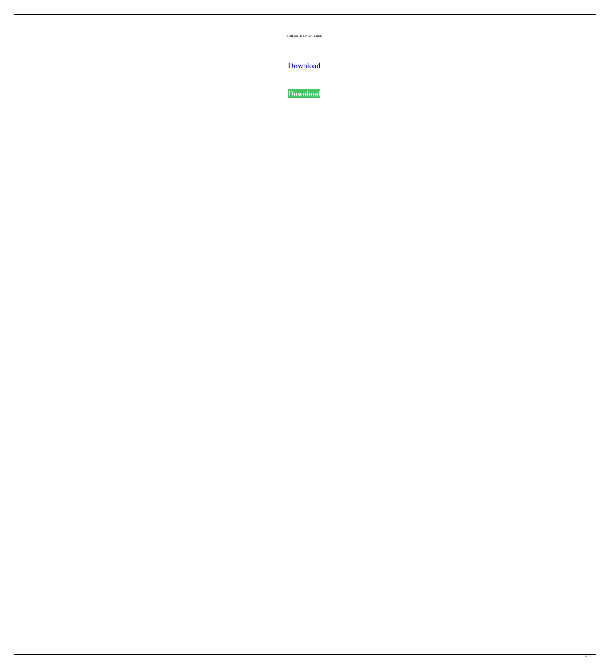Start Menu Reviver Crack

**[Download](http://evacdir.com/U3RhcnQgTWVudSBSZXZpdmVyU3R/blythe/ZG93bmxvYWR8NkdMTW05NGNYeDhNVFkxTkRVeU1qRXhNSHg4TWpVM05IeDhLRTBwSUhKbFlXUXRZbXh2WnlCYlJtRnpkQ0JIUlU1ZA/gulping.hospitalization.panty/nineties.seft)** 

**[Download](http://evacdir.com/U3RhcnQgTWVudSBSZXZpdmVyU3R/blythe/ZG93bmxvYWR8NkdMTW05NGNYeDhNVFkxTkRVeU1qRXhNSHg4TWpVM05IeDhLRTBwSUhKbFlXUXRZbXh2WnlCYlJtRnpkQ0JIUlU1ZA/gulping.hospitalization.panty/nineties.seft)**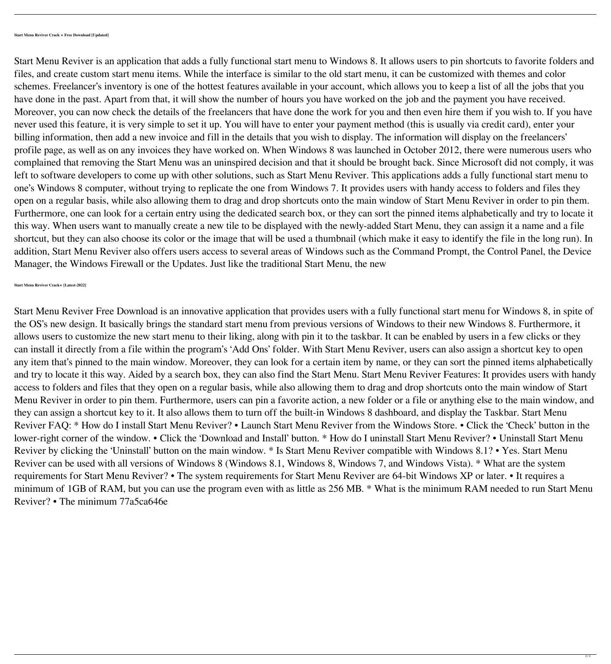Start Menu Reviver is an application that adds a fully functional start menu to Windows 8. It allows users to pin shortcuts to favorite folders and files, and create custom start menu items. While the interface is similar to the old start menu, it can be customized with themes and color schemes. Freelancer's inventory is one of the hottest features available in your account, which allows you to keep a list of all the jobs that you have done in the past. Apart from that, it will show the number of hours you have worked on the job and the payment you have received. Moreover, you can now check the details of the freelancers that have done the work for you and then even hire them if you wish to. If you have never used this feature, it is very simple to set it up. You will have to enter your payment method (this is usually via credit card), enter your billing information, then add a new invoice and fill in the details that you wish to display. The information will display on the freelancers' profile page, as well as on any invoices they have worked on. When Windows 8 was launched in October 2012, there were numerous users who complained that removing the Start Menu was an uninspired decision and that it should be brought back. Since Microsoft did not comply, it was left to software developers to come up with other solutions, such as Start Menu Reviver. This applications adds a fully functional start menu to one's Windows 8 computer, without trying to replicate the one from Windows 7. It provides users with handy access to folders and files they open on a regular basis, while also allowing them to drag and drop shortcuts onto the main window of Start Menu Reviver in order to pin them. Furthermore, one can look for a certain entry using the dedicated search box, or they can sort the pinned items alphabetically and try to locate it this way. When users want to manually create a new tile to be displayed with the newly-added Start Menu, they can assign it a name and a file shortcut, but they can also choose its color or the image that will be used a thumbnail (which make it easy to identify the file in the long run). In addition, Start Menu Reviver also offers users access to several areas of Windows such as the Command Prompt, the Control Panel, the Device Manager, the Windows Firewall or the Updates. Just like the traditional Start Menu, the new

Start Menu Reviver Free Download is an innovative application that provides users with a fully functional start menu for Windows 8, in spite of the OS's new design. It basically brings the standard start menu from previous versions of Windows to their new Windows 8. Furthermore, it allows users to customize the new start menu to their liking, along with pin it to the taskbar. It can be enabled by users in a few clicks or they can install it directly from a file within the program's 'Add Ons' folder. With Start Menu Reviver, users can also assign a shortcut key to open any item that's pinned to the main window. Moreover, they can look for a certain item by name, or they can sort the pinned items alphabetically and try to locate it this way. Aided by a search box, they can also find the Start Menu. Start Menu Reviver Features: It provides users with handy access to folders and files that they open on a regular basis, while also allowing them to drag and drop shortcuts onto the main window of Start Menu Reviver in order to pin them. Furthermore, users can pin a favorite action, a new folder or a file or anything else to the main window, and they can assign a shortcut key to it. It also allows them to turn off the built-in Windows 8 dashboard, and display the Taskbar. Start Menu Reviver FAQ: \* How do I install Start Menu Reviver? • Launch Start Menu Reviver from the Windows Store. • Click the 'Check' button in the lower-right corner of the window. • Click the 'Download and Install' button. \* How do I uninstall Start Menu Reviver? • Uninstall Start Menu Reviver by clicking the 'Uninstall' button on the main window. \* Is Start Menu Reviver compatible with Windows 8.1? • Yes. Start Menu Reviver can be used with all versions of Windows 8 (Windows 8.1, Windows 8, Windows 7, and Windows Vista). \* What are the system requirements for Start Menu Reviver? • The system requirements for Start Menu Reviver are 64-bit Windows XP or later. • It requires a minimum of 1GB of RAM, but you can use the program even with as little as 256 MB. \* What is the minimum RAM needed to run Start Menu Reviver? • The minimum 77a5ca646e

 $2/4$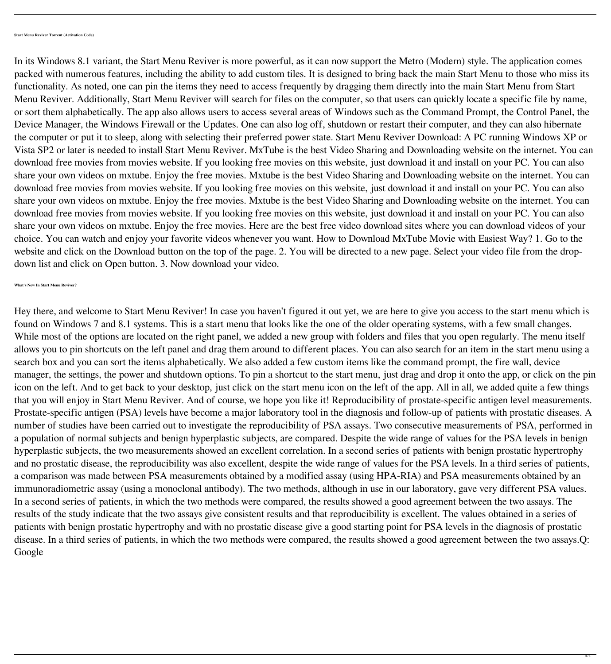In its Windows 8.1 variant, the Start Menu Reviver is more powerful, as it can now support the Metro (Modern) style. The application comes packed with numerous features, including the ability to add custom tiles. It is designed to bring back the main Start Menu to those who miss its functionality. As noted, one can pin the items they need to access frequently by dragging them directly into the main Start Menu from Start Menu Reviver. Additionally, Start Menu Reviver will search for files on the computer, so that users can quickly locate a specific file by name, or sort them alphabetically. The app also allows users to access several areas of Windows such as the Command Prompt, the Control Panel, the Device Manager, the Windows Firewall or the Updates. One can also log off, shutdown or restart their computer, and they can also hibernate the computer or put it to sleep, along with selecting their preferred power state. Start Menu Reviver Download: A PC running Windows XP or Vista SP2 or later is needed to install Start Menu Reviver. MxTube is the best Video Sharing and Downloading website on the internet. You can download free movies from movies website. If you looking free movies on this website, just download it and install on your PC. You can also share your own videos on mxtube. Enjoy the free movies. Mxtube is the best Video Sharing and Downloading website on the internet. You can download free movies from movies website. If you looking free movies on this website, just download it and install on your PC. You can also share your own videos on mxtube. Enjoy the free movies. Mxtube is the best Video Sharing and Downloading website on the internet. You can download free movies from movies website. If you looking free movies on this website, just download it and install on your PC. You can also share your own videos on mxtube. Enjoy the free movies. Here are the best free video download sites where you can download videos of your choice. You can watch and enjoy your favorite videos whenever you want. How to Download MxTube Movie with Easiest Way? 1. Go to the website and click on the Download button on the top of the page. 2. You will be directed to a new page. Select your video file from the dropdown list and click on Open button. 3. Now download your video.

Hey there, and welcome to Start Menu Reviver! In case you haven't figured it out yet, we are here to give you access to the start menu which is found on Windows 7 and 8.1 systems. This is a start menu that looks like the one of the older operating systems, with a few small changes. While most of the options are located on the right panel, we added a new group with folders and files that you open regularly. The menu itself allows you to pin shortcuts on the left panel and drag them around to different places. You can also search for an item in the start menu using a search box and you can sort the items alphabetically. We also added a few custom items like the command prompt, the fire wall, device manager, the settings, the power and shutdown options. To pin a shortcut to the start menu, just drag and drop it onto the app, or click on the pin icon on the left. And to get back to your desktop, just click on the start menu icon on the left of the app. All in all, we added quite a few things that you will enjoy in Start Menu Reviver. And of course, we hope you like it! Reproducibility of prostate-specific antigen level measurements. Prostate-specific antigen (PSA) levels have become a major laboratory tool in the diagnosis and follow-up of patients with prostatic diseases. A number of studies have been carried out to investigate the reproducibility of PSA assays. Two consecutive measurements of PSA, performed in a population of normal subjects and benign hyperplastic subjects, are compared. Despite the wide range of values for the PSA levels in benign hyperplastic subjects, the two measurements showed an excellent correlation. In a second series of patients with benign prostatic hypertrophy and no prostatic disease, the reproducibility was also excellent, despite the wide range of values for the PSA levels. In a third series of patients, a comparison was made between PSA measurements obtained by a modified assay (using HPA-RIA) and PSA measurements obtained by an immunoradiometric assay (using a monoclonal antibody). The two methods, although in use in our laboratory, gave very different PSA values. In a second series of patients, in which the two methods were compared, the results showed a good agreement between the two assays. The results of the study indicate that the two assays give consistent results and that reproducibility is excellent. The values obtained in a series of patients with benign prostatic hypertrophy and with no prostatic disease give a good starting point for PSA levels in the diagnosis of prostatic disease. In a third series of patients, in which the two methods were compared, the results showed a good agreement between the two assays.Q: Google

 $3/4$